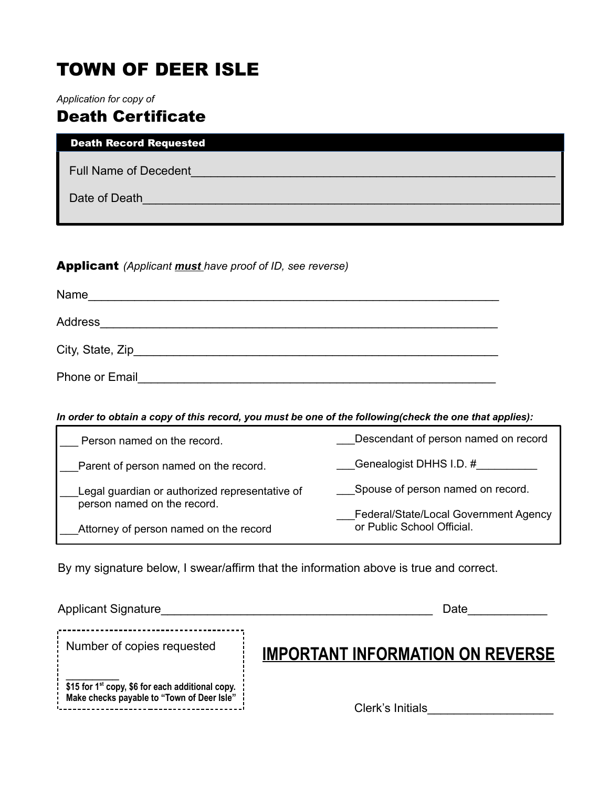# TOWN OF DEER ISLE

*Application for copy of*

# Death Certificate

| <b>Death Record Requested</b> |  |
|-------------------------------|--|
| <b>Full Name of Decedent</b>  |  |
| Date of Death                 |  |
|                               |  |

### Applicant *(Applicant must have proof of ID, see reverse)*

| Name                  |  |
|-----------------------|--|
| Address               |  |
| City, State, Zip_     |  |
| <b>Phone or Email</b> |  |

#### *In order to obtain a copy of this record, you must be one of the following(check the one that applies):*

| Person named on the record.                                                   | Descendant of person named on record  |
|-------------------------------------------------------------------------------|---------------------------------------|
| Parent of person named on the record.                                         | Genealogist DHHS I.D. #               |
| Legal guardian or authorized representative of<br>person named on the record. | Spouse of person named on record.     |
|                                                                               | Federal/State/Local Government Agency |
| Attorney of person named on the record                                        | or Public School Official.            |

By my signature below, I swear/affirm that the information above is true and correct.

| <b>Applicant Signature</b>                                                                                   | Date                                    |
|--------------------------------------------------------------------------------------------------------------|-----------------------------------------|
| Number of copies requested                                                                                   | <b>IMPORTANT INFORMATION ON REVERSE</b> |
| : \$15 for 1 <sup>st</sup> copy, \$6 for each additional copy.<br>Make checks payable to "Town of Deer Isle" | Clerk's Initials                        |